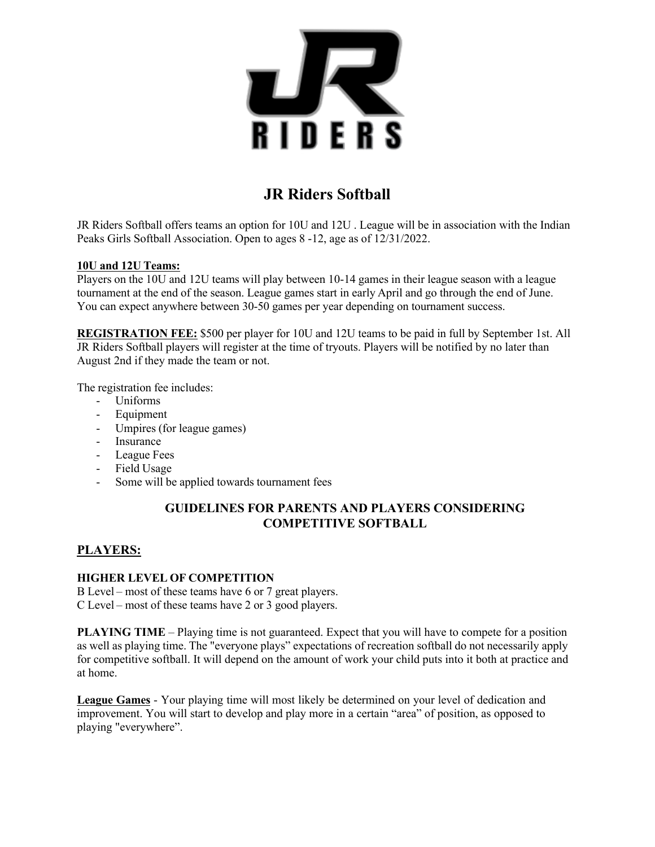

# **JR Riders Softball**

JR Riders Softball offers teams an option for 10U and 12U . League will be in association with the Indian Peaks Girls Softball Association. Open to ages 8 -12, age as of 12/31/2022.

#### **10U and 12U Teams:**

Players on the 10U and 12U teams will play between 10-14 games in their league season with a league tournament at the end of the season. League games start in early April and go through the end of June. You can expect anywhere between 30-50 games per year depending on tournament success.

**REGISTRATION FEE:** \$500 per player for 10U and 12U teams to be paid in full by September 1st. All JR Riders Softball players will register at the time of tryouts. Players will be notified by no later than August 2nd if they made the team or not.

The registration fee includes:

- Uniforms
- Equipment
- Umpires (for league games)
- Insurance
- League Fees
- Field Usage
- Some will be applied towards tournament fees

### **GUIDELINES FOR PARENTS AND PLAYERS CONSIDERING COMPETITIVE SOFTBALL**

#### **PLAYERS:**

#### **HIGHER LEVEL OF COMPETITION**

B Level – most of these teams have 6 or 7 great players. C Level – most of these teams have 2 or 3 good players.

**PLAYING TIME** – Playing time is not guaranteed. Expect that you will have to compete for a position as well as playing time. The "everyone plays" expectations of recreation softball do not necessarily apply for competitive softball. It will depend on the amount of work your child puts into it both at practice and at home.

**League Games** - Your playing time will most likely be determined on your level of dedication and improvement. You will start to develop and play more in a certain "area" of position, as opposed to playing "everywhere".